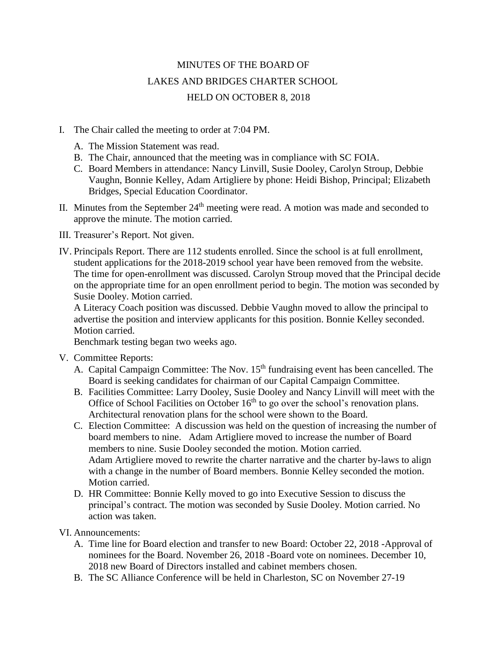## MINUTES OF THE BOARD OF LAKES AND BRIDGES CHARTER SCHOOL HELD ON OCTOBER 8, 2018

- I. The Chair called the meeting to order at 7:04 PM.
	- A. The Mission Statement was read.
	- B. The Chair, announced that the meeting was in compliance with SC FOIA.
	- C. Board Members in attendance: Nancy Linvill, Susie Dooley, Carolyn Stroup, Debbie Vaughn, Bonnie Kelley, Adam Artigliere by phone: Heidi Bishop, Principal; Elizabeth Bridges, Special Education Coordinator.
- II. Minutes from the September  $24<sup>th</sup>$  meeting were read. A motion was made and seconded to approve the minute. The motion carried.
- III. Treasurer's Report. Not given.
- IV. Principals Report. There are 112 students enrolled. Since the school is at full enrollment, student applications for the 2018-2019 school year have been removed from the website. The time for open-enrollment was discussed. Carolyn Stroup moved that the Principal decide on the appropriate time for an open enrollment period to begin. The motion was seconded by Susie Dooley. Motion carried.

A Literacy Coach position was discussed. Debbie Vaughn moved to allow the principal to advertise the position and interview applicants for this position. Bonnie Kelley seconded. Motion carried.

Benchmark testing began two weeks ago.

- V. Committee Reports:
	- A. Capital Campaign Committee: The Nov.  $15<sup>th</sup>$  fundraising event has been cancelled. The Board is seeking candidates for chairman of our Capital Campaign Committee.
	- B. Facilities Committee: Larry Dooley, Susie Dooley and Nancy Linvill will meet with the Office of School Facilities on October  $16<sup>th</sup>$  to go over the school's renovation plans. Architectural renovation plans for the school were shown to the Board.
	- C. Election Committee: A discussion was held on the question of increasing the number of board members to nine. Adam Artigliere moved to increase the number of Board members to nine. Susie Dooley seconded the motion. Motion carried. Adam Artigliere moved to rewrite the charter narrative and the charter by-laws to align with a change in the number of Board members. Bonnie Kelley seconded the motion. Motion carried.
	- D. HR Committee: Bonnie Kelly moved to go into Executive Session to discuss the principal's contract. The motion was seconded by Susie Dooley. Motion carried. No action was taken.

VI. Announcements:

- A. Time line for Board election and transfer to new Board: October 22, 2018 -Approval of nominees for the Board. November 26, 2018 -Board vote on nominees. December 10, 2018 new Board of Directors installed and cabinet members chosen.
- B. The SC Alliance Conference will be held in Charleston, SC on November 27-19